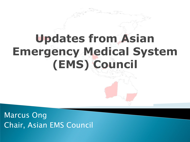# **Updates from Asian Emergency Medical System (EMS) Council**

Marcus Ong Chair, Asian EMS Council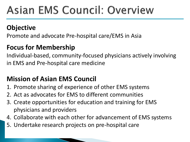# **Asian EMS Council: Overview**

## **Objective**

Promote and advocate Pre-hospital care/EMS in Asia

### **Focus for Membership**

Individual-based, community-focused physicians actively involving in EMS and Pre-hospital care medicine

### **Mission of Asian EMS Council**

- 1. Promote sharing of experience of other EMS systems
- 2. Act as advocates for EMS to different communities
- 3. Create opportunities for education and training for EMS physicians and providers
- 4. Collaborate with each other for advancement of EMS systems
- 5. Undertake research projects on pre-hospital care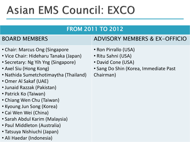# **Asian EMS Council: EXCO**

### FROM 2011 TO 2012

- Chair: Marcus Ong (Singapore
- Vice Chair: Hideharu Tanaka (Japan)
- Secretary: Ng Yih Yng (Singapore)
- Axel Siu (Hong Kong)
- Nathida Sumetchotimaytha (Thailand)
- Omer Al Sakaf (UAE)
- Junaid Razzak (Pakistan)
- Patrick Ko (Taiwan)
- Chiang Wen Chu (Taiwan)
- Kyoung Jun Song (Korea)
- Cai Wen Wei (China)
- Sarah Abdul Karim (Malaysia)
- Paul Middleton (Australia)
- Tatsuya Nishiuchi (Japan)
- Ali Haedar (Indonesia)

### BOARD MEMBERS ADVISORY MEMBERS & EX-OFFICIO

- Ron Pirrallo (USA)
- Ritu Sahni (USA)
- David Cone (USA)
- Sang Do Shin (Korea, Immediate Past Chairman)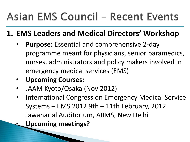# **Asian EMS Council - Recent Events**

## **1. EMS Leaders and Medical Directors' Workshop**

- **Purpose:** Essential and comprehensive 2-day programme meant for physicians, senior paramedics, nurses, administrators and policy makers involved in emergency medical services (EMS)
- **Upcoming Courses:**
- JAAM Kyoto/Osaka (Nov 2012)
- International Congress on Emergency Medical Service Systems – EMS 2012 9th – 11th February, 2012 Jawaharlal Auditorium, AIIMS, New Delhi
	- **Upcoming meetings?**